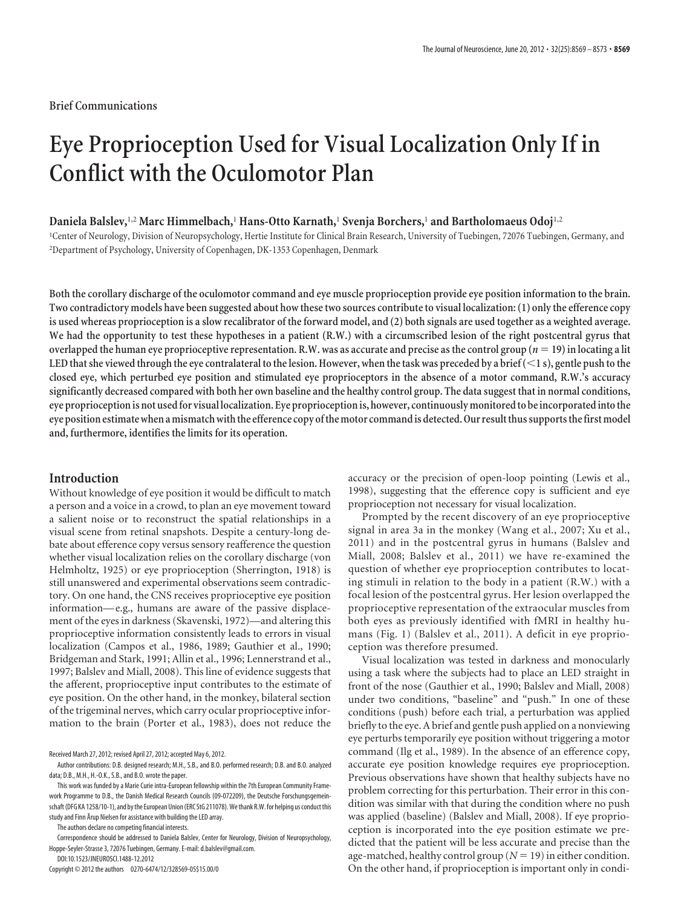## **Brief Communications**

# **Eye Proprioception Used for Visual Localization Only If in Conflict with the Oculomotor Plan**

## **Daniela Balslev,**1,2 **Marc Himmelbach,**<sup>1</sup> **Hans-Otto Karnath,**<sup>1</sup> **Svenja Borchers,**<sup>1</sup> **and Bartholomaeus Odoj**1,2

1 Center of Neurology, Division of Neuropsychology, Hertie Institute for Clinical Brain Research, University of Tuebingen, 72076 Tuebingen, Germany, and 2 Department of Psychology, University of Copenhagen, DK-1353 Copenhagen, Denmark

**Both the corollary discharge of the oculomotor command and eye muscle proprioception provide eye position information to the brain. Two contradictory models have been suggested about how these two sources contribute to visual localization: (1) only the efference copy is used whereas proprioception is a slow recalibrator of the forward model, and (2) both signals are used together as a weighted average. We had the opportunity to test these hypotheses in a patient (R.W.) with a circumscribed lesion of the right postcentral gyrus that** overlapped the human eye proprioceptive representation. R.W. was as accurate and precise as the control group  $(n = 19)$  in locating a lit **LED that she viewed through the eye contralateral to the lesion. However, when the task was preceded by a brief (**-**1 s), gentle push to the closed eye, which perturbed eye position and stimulated eye proprioceptors in the absence of a motor command, R.W.'s accuracy significantly decreased compared with both her own baseline and the healthy control group. The data suggest that in normal conditions,** eye proprioception is not used for visual localization. Eye proprioception is, however, continuously monitored to be incorporated into the eye position estimate when a mismatch with the efference copy of the motor command is detected. Our result thus supports the first model **and, furthermore, identifies the limits for its operation.**

## **Introduction**

Without knowledge of eye position it would be difficult to match a person and a voice in a crowd, to plan an eye movement toward a salient noise or to reconstruct the spatial relationships in a visual scene from retinal snapshots. Despite a century-long debate about efference copy versus sensory reafference the question whether visual localization relies on the corollary discharge (von Helmholtz, 1925) or eye proprioception (Sherrington, 1918) is still unanswered and experimental observations seem contradictory. On one hand, the CNS receives proprioceptive eye position information— e.g., humans are aware of the passive displacement of the eyes in darkness (Skavenski, 1972)—and altering this proprioceptive information consistently leads to errors in visual localization (Campos et al., 1986, 1989; Gauthier et al., 1990; Bridgeman and Stark, 1991; Allin et al., 1996; Lennerstrand et al., 1997; Balslev and Miall, 2008). This line of evidence suggests that the afferent, proprioceptive input contributes to the estimate of eye position. On the other hand, in the monkey, bilateral section of the trigeminal nerves, which carry ocular proprioceptive information to the brain (Porter et al., 1983), does not reduce the

Received March 27, 2012; revised April 27, 2012; accepted May 6, 2012.

The authors declare no competing financial interests.

Correspondence should be addressed to Daniela Balslev, Center for Neurology, Division of Neuropsychology, Hoppe-Seyler-Strasse 3, 72076 Tuebingen, Germany. E-mail: d.balslev@gmail.com. DOI:10.1523/JNEUROSCI.1488-12.2012

Copyright © 2012 the authors 0270-6474/12/328569-05\$15.00/0

accuracy or the precision of open-loop pointing (Lewis et al., 1998), suggesting that the efference copy is sufficient and eye proprioception not necessary for visual localization.

Prompted by the recent discovery of an eye proprioceptive signal in area 3a in the monkey (Wang et al., 2007; Xu et al., 2011) and in the postcentral gyrus in humans (Balslev and Miall, 2008; Balslev et al., 2011) we have re-examined the question of whether eye proprioception contributes to locating stimuli in relation to the body in a patient (R.W.) with a focal lesion of the postcentral gyrus. Her lesion overlapped the proprioceptive representation of the extraocular muscles from both eyes as previously identified with fMRI in healthy humans (Fig. 1) (Balslev et al., 2011). A deficit in eye proprioception was therefore presumed.

Visual localization was tested in darkness and monocularly using a task where the subjects had to place an LED straight in front of the nose (Gauthier et al., 1990; Balslev and Miall, 2008) under two conditions, "baseline" and "push." In one of these conditions (push) before each trial, a perturbation was applied briefly to the eye. A brief and gentle push applied on a nonviewing eye perturbs temporarily eye position without triggering a motor command (Ilg et al., 1989). In the absence of an efference copy, accurate eye position knowledge requires eye proprioception. Previous observations have shown that healthy subjects have no problem correcting for this perturbation. Their error in this condition was similar with that during the condition where no push was applied (baseline) (Balslev and Miall, 2008). If eye proprioception is incorporated into the eye position estimate we predicted that the patient will be less accurate and precise than the age-matched, healthy control group ( $N = 19$ ) in either condition. On the other hand, if proprioception is important only in condi-

Author contributions: D.B. designed research; M.H., S.B., and B.O. performed research; D.B. and B.O. analyzed data; D.B., M.H., H.-O.K., S.B., and B.O. wrote the paper.

This work was funded by a Marie Curie intra-European fellowship within the 7th European Community Framework Programme to D.B., the Danish Medical Research Councils (09-072209), the Deutsche Forschungsgemeinschaft (DFG KA 1258/10-1), and by the European Union (ERC StG 211078). We thank R.W. for helping us conduct this study and Finn Årup Nielsen for assistance with building the LED array.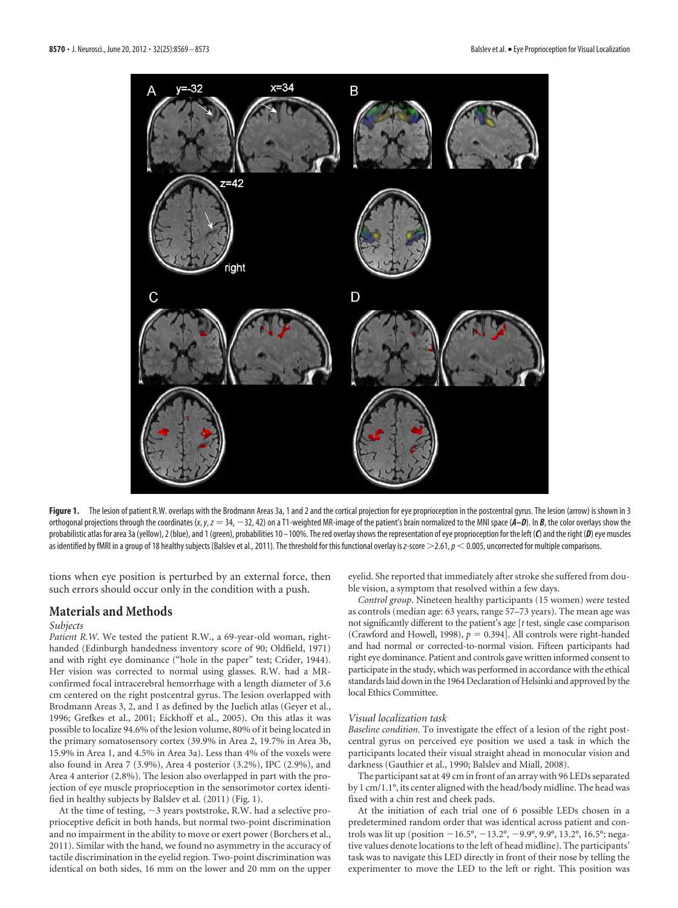

Figure 1. The lesion of patient R.W. overlaps with the Brodmann Areas 3a, 1 and 2 and the cortical projection for eye proprioception in the postcentral gyrus. The lesion (arrow) is shown in 3 orthogonal projections through the coordinates (*x*, *y*, *z* 34, 32, 42) on a T1-weighted MR-image of the patient's brain normalized to the MNI space (*A–D*). In *B*, the color overlays show the probabilistic atlas for area 3a (yellow), 2 (blue), and 1 (green), probabilities 10 –100%. The red overlayshows the representation of eye proprioception for the left (*C*) and the right (*D*) eye muscles as identified by fMRI in a group of 18 healthy subjects (Balslev et al., 2011). The threshold for this functional overlay is *z*-score  $\geq$  2.61,  $p <$  0.005, uncorrected for multiple comparisons.

tions when eye position is perturbed by an external force, then such errors should occur only in the condition with a push.

# **Materials and Methods**

#### *Subjects*

*Patient R.W*. We tested the patient R.W., a 69-year-old woman, righthanded (Edinburgh handedness inventory score of 90; Oldfield, 1971) and with right eye dominance ("hole in the paper" test; Crider, 1944). Her vision was corrected to normal using glasses. R.W. had a MRconfirmed focal intracerebral hemorrhage with a length diameter of 3.6 cm centered on the right postcentral gyrus. The lesion overlapped with Brodmann Areas 3, 2, and 1 as defined by the Juelich atlas (Geyer et al., 1996; Grefkes et al., 2001; Eickhoff et al., 2005). On this atlas it was possible to localize 94.6% of the lesion volume, 80% of it being located in the primary somatosensory cortex (39.9% in Area 2, 19.7% in Area 3b, 15.9% in Area 1, and 4.5% in Area 3a). Less than 4% of the voxels were also found in Area 7 (3.9%), Area 4 posterior (3.2%), IPC (2.9%), and Area 4 anterior (2.8%). The lesion also overlapped in part with the projection of eye muscle proprioception in the sensorimotor cortex identified in healthy subjects by Balslev et al. (2011) (Fig. 1).

At the time of testing,  $\sim$  3 years poststroke, R.W. had a selective proprioceptive deficit in both hands, but normal two-point discrimination and no impairment in the ability to move or exert power (Borchers et al., 2011). Similar with the hand, we found no asymmetry in the accuracy of tactile discrimination in the eyelid region. Two-point discrimination was identical on both sides, 16 mm on the lower and 20 mm on the upper eyelid. She reported that immediately after stroke she suffered from double vision, a symptom that resolved within a few days.

*Control group*. Nineteen healthy participants (15 women) were tested as controls (median age: 63 years, range 57–73 years). The mean age was not significantly different to the patient's age [*t* test, single case comparison (Crawford and Howell, 1998),  $p = 0.394$ ]. All controls were right-handed and had normal or corrected-to-normal vision. Fifteen participants had right eye dominance. Patient and controls gave written informed consent to participate in the study, which was performed in accordance with the ethical standards laid downin the 1964 Declaration of Helsinki and approved by the local Ethics Committee.

## *Visual localization task*

*Baseline condition*. To investigate the effect of a lesion of the right postcentral gyrus on perceived eye position we used a task in which the participants located their visual straight ahead in monocular vision and darkness (Gauthier et al., 1990; Balslev and Miall, 2008).

The participant sat at 49 cm in front of an array with 96 LEDs separated by 1 cm/1.1°, its center aligned with the head/body midline. The head was fixed with a chin rest and cheek pads.

At the initiation of each trial one of 6 possible LEDs chosen in a predetermined random order that was identical across patient and controls was lit up (position -16.5°, -13.2°, -9.9°, 9.9°, 13.2°, 16.5°; negative values denote locations to the left of head midline). The participants' task was to navigate this LED directly in front of their nose by telling the experimenter to move the LED to the left or right. This position was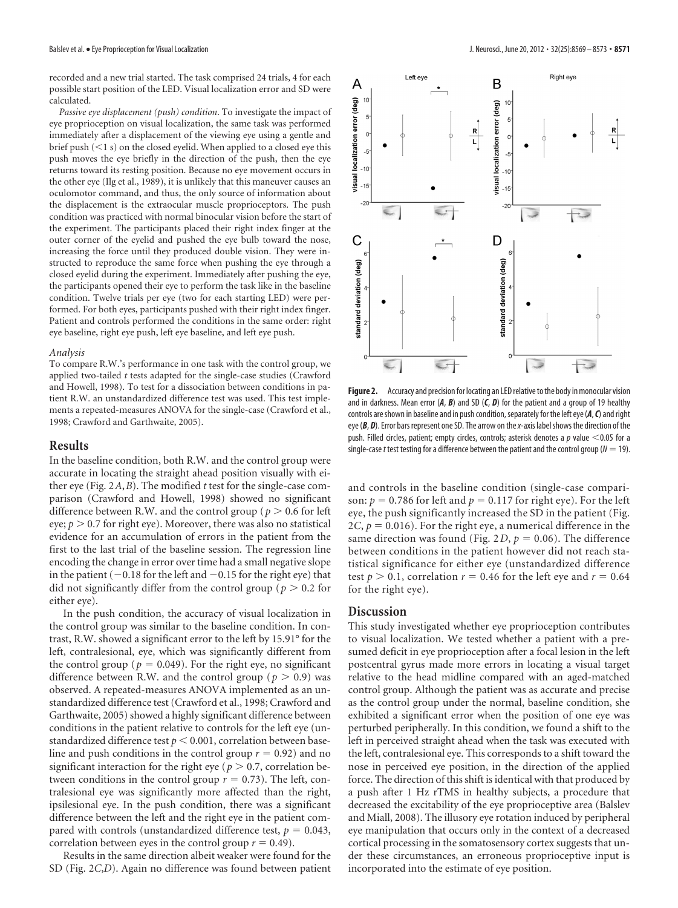recorded and a new trial started. The task comprised 24 trials, 4 for each possible start position of the LED. Visual localization error and SD were calculated.

*Passive eye displacement (push) condition*. To investigate the impact of eye proprioception on visual localization, the same task was performed immediately after a displacement of the viewing eye using a gentle and brief push (<1 s) on the closed eyelid. When applied to a closed eye this push moves the eye briefly in the direction of the push, then the eye returns toward its resting position. Because no eye movement occurs in the other eye (Ilg et al., 1989), it is unlikely that this maneuver causes an oculomotor command, and thus, the only source of information about the displacement is the extraocular muscle proprioceptors. The push condition was practiced with normal binocular vision before the start of the experiment. The participants placed their right index finger at the outer corner of the eyelid and pushed the eye bulb toward the nose, increasing the force until they produced double vision. They were instructed to reproduce the same force when pushing the eye through a closed eyelid during the experiment. Immediately after pushing the eye, the participants opened their eye to perform the task like in the baseline condition. Twelve trials per eye (two for each starting LED) were performed. For both eyes, participants pushed with their right index finger. Patient and controls performed the conditions in the same order: right eye baseline, right eye push, left eye baseline, and left eye push.

#### *Analysis*

To compare R.W.'s performance in one task with the control group, we applied two-tailed *t* tests adapted for the single-case studies (Crawford and Howell, 1998). To test for a dissociation between conditions in patient R.W. an unstandardized difference test was used. This test implements a repeated-measures ANOVA for the single-case (Crawford et al., 1998; Crawford and Garthwaite, 2005).

## **Results**

In the baseline condition, both R.W. and the control group were accurate in locating the straight ahead position visually with either eye (Fig. 2*A*,*B*). The modified *t* test for the single-case comparison (Crawford and Howell, 1998) showed no significant difference between R.W. and the control group ( $p > 0.6$  for left eye;  $p > 0.7$  for right eye). Moreover, there was also no statistical evidence for an accumulation of errors in the patient from the first to the last trial of the baseline session. The regression line encoding the change in error over time had a small negative slope in the patient ( $-0.18$  for the left and  $-0.15$  for the right eye) that did not significantly differ from the control group ( $p > 0.2$  for either eye).

In the push condition, the accuracy of visual localization in the control group was similar to the baseline condition. In contrast, R.W. showed a significant error to the left by 15.91° for the left, contralesional, eye, which was significantly different from the control group ( $p = 0.049$ ). For the right eye, no significant difference between R.W. and the control group ( $p > 0.9$ ) was observed. A repeated-measures ANOVA implemented as an unstandardized difference test (Crawford et al., 1998; Crawford and Garthwaite, 2005) showed a highly significant difference between conditions in the patient relative to controls for the left eye (unstandardized difference test  $p < 0.001,$  correlation between baseline and push conditions in the control group  $r = 0.92$ ) and no significant interaction for the right eye ( $p > 0.7$ , correlation between conditions in the control group  $r = 0.73$ ). The left, contralesional eye was significantly more affected than the right, ipsilesional eye. In the push condition, there was a significant difference between the left and the right eye in the patient compared with controls (unstandardized difference test,  $p = 0.043$ , correlation between eyes in the control group  $r = 0.49$ ).

Results in the same direction albeit weaker were found for the SD (Fig. 2*C*,*D*). Again no difference was found between patient



Figure 2. Accuracy and precision for locating an LED relative to the body in monocular vision and in darkness. Mean error (*A*, *B*) and SD (*C*, *D*) for the patient and a group of 19 healthy controls are shown in baseline and in push condition, separately for the left eye (A, C) and right eye (B, D). Error bars represent one SD. The arrow on the x-axis label shows the direction of the push. Filled circles, patient; empty circles, controls; asterisk denotes a p value <0.05 for a single-case *t* test testing for a difference between the patient and the control group ( $N = 19$ ).

and controls in the baseline condition (single-case comparison:  $p = 0.786$  for left and  $p = 0.117$  for right eye). For the left eye, the push significantly increased the SD in the patient (Fig.  $2*C*$ , *). For the right eye, a numerical difference in the* same direction was found (Fig.  $2D$ ,  $p = 0.06$ ). The difference between conditions in the patient however did not reach statistical significance for either eye (unstandardized difference test  $p > 0.1$ , correlation  $r = 0.46$  for the left eye and  $r = 0.64$ for the right eye).

## **Discussion**

This study investigated whether eye proprioception contributes to visual localization. We tested whether a patient with a presumed deficit in eye proprioception after a focal lesion in the left postcentral gyrus made more errors in locating a visual target relative to the head midline compared with an aged-matched control group. Although the patient was as accurate and precise as the control group under the normal, baseline condition, she exhibited a significant error when the position of one eye was perturbed peripherally. In this condition, we found a shift to the left in perceived straight ahead when the task was executed with the left, contralesional eye. This corresponds to a shift toward the nose in perceived eye position, in the direction of the applied force. The direction of this shift is identical with that produced by a push after 1 Hz rTMS in healthy subjects, a procedure that decreased the excitability of the eye proprioceptive area (Balslev and Miall, 2008). The illusory eye rotation induced by peripheral eye manipulation that occurs only in the context of a decreased cortical processing in the somatosensory cortex suggests that under these circumstances, an erroneous proprioceptive input is incorporated into the estimate of eye position.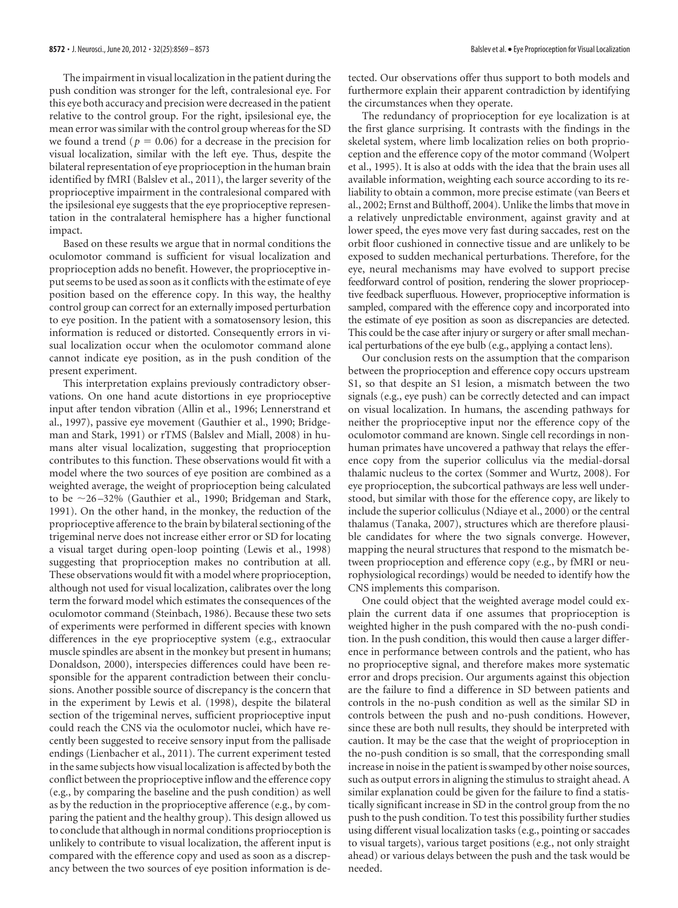The impairment in visual localization in the patient during the push condition was stronger for the left, contralesional eye. For this eye both accuracy and precision were decreased in the patient relative to the control group. For the right, ipsilesional eye, the mean error was similar with the control group whereas for the SD we found a trend ( $p = 0.06$ ) for a decrease in the precision for visual localization, similar with the left eye. Thus, despite the bilateral representation of eye proprioception in the human brain identified by fMRI (Balslev et al., 2011), the larger severity of the proprioceptive impairment in the contralesional compared with the ipsilesional eye suggests that the eye proprioceptive representation in the contralateral hemisphere has a higher functional impact.

Based on these results we argue that in normal conditions the oculomotor command is sufficient for visual localization and proprioception adds no benefit. However, the proprioceptive input seems to be used as soon as it conflicts with the estimate of eye position based on the efference copy. In this way, the healthy control group can correct for an externally imposed perturbation to eye position. In the patient with a somatosensory lesion, this information is reduced or distorted. Consequently errors in visual localization occur when the oculomotor command alone cannot indicate eye position, as in the push condition of the present experiment.

This interpretation explains previously contradictory observations. On one hand acute distortions in eye proprioceptive input after tendon vibration (Allin et al., 1996; Lennerstrand et al., 1997), passive eye movement (Gauthier et al., 1990; Bridgeman and Stark, 1991) or rTMS (Balslev and Miall, 2008) in humans alter visual localization, suggesting that proprioception contributes to this function. These observations would fit with a model where the two sources of eye position are combined as a weighted average, the weight of proprioception being calculated to be  $\sim$ 26-32% (Gauthier et al., 1990; Bridgeman and Stark, 1991). On the other hand, in the monkey, the reduction of the proprioceptive afference to the brain by bilateral sectioning of the trigeminal nerve does not increase either error or SD for locating a visual target during open-loop pointing (Lewis et al., 1998) suggesting that proprioception makes no contribution at all. These observations would fit with a model where proprioception, although not used for visual localization, calibrates over the long term the forward model which estimates the consequences of the oculomotor command (Steinbach, 1986). Because these two sets of experiments were performed in different species with known differences in the eye proprioceptive system (e.g., extraocular muscle spindles are absent in the monkey but present in humans; Donaldson, 2000), interspecies differences could have been responsible for the apparent contradiction between their conclusions. Another possible source of discrepancy is the concern that in the experiment by Lewis et al. (1998), despite the bilateral section of the trigeminal nerves, sufficient proprioceptive input could reach the CNS via the oculomotor nuclei, which have recently been suggested to receive sensory input from the pallisade endings (Lienbacher et al., 2011). The current experiment tested in the same subjects how visual localization is affected by both the conflict between the proprioceptive inflow and the efference copy (e.g., by comparing the baseline and the push condition) as well as by the reduction in the proprioceptive afference (e.g., by comparing the patient and the healthy group). This design allowed us to conclude that although in normal conditions proprioception is unlikely to contribute to visual localization, the afferent input is compared with the efference copy and used as soon as a discrepancy between the two sources of eye position information is detected. Our observations offer thus support to both models and furthermore explain their apparent contradiction by identifying the circumstances when they operate.

The redundancy of proprioception for eye localization is at the first glance surprising. It contrasts with the findings in the skeletal system, where limb localization relies on both proprioception and the efference copy of the motor command (Wolpert et al., 1995). It is also at odds with the idea that the brain uses all available information, weighting each source according to its reliability to obtain a common, more precise estimate (van Beers et al., 2002; Ernst and Bülthoff, 2004). Unlike the limbs that move in a relatively unpredictable environment, against gravity and at lower speed, the eyes move very fast during saccades, rest on the orbit floor cushioned in connective tissue and are unlikely to be exposed to sudden mechanical perturbations. Therefore, for the eye, neural mechanisms may have evolved to support precise feedforward control of position, rendering the slower proprioceptive feedback superfluous. However, proprioceptive information is sampled, compared with the efference copy and incorporated into the estimate of eye position as soon as discrepancies are detected. This could be the case after injury or surgery or after small mechanical perturbations of the eye bulb (e.g., applying a contact lens).

Our conclusion rests on the assumption that the comparison between the proprioception and efference copy occurs upstream S1, so that despite an S1 lesion, a mismatch between the two signals (e.g., eye push) can be correctly detected and can impact on visual localization. In humans, the ascending pathways for neither the proprioceptive input nor the efference copy of the oculomotor command are known. Single cell recordings in nonhuman primates have uncovered a pathway that relays the efference copy from the superior colliculus via the medial-dorsal thalamic nucleus to the cortex (Sommer and Wurtz, 2008). For eye proprioception, the subcortical pathways are less well understood, but similar with those for the efference copy, are likely to include the superior colliculus (Ndiaye et al., 2000) or the central thalamus (Tanaka, 2007), structures which are therefore plausible candidates for where the two signals converge. However, mapping the neural structures that respond to the mismatch between proprioception and efference copy (e.g., by fMRI or neurophysiological recordings) would be needed to identify how the CNS implements this comparison.

One could object that the weighted average model could explain the current data if one assumes that proprioception is weighted higher in the push compared with the no-push condition. In the push condition, this would then cause a larger difference in performance between controls and the patient, who has no proprioceptive signal, and therefore makes more systematic error and drops precision. Our arguments against this objection are the failure to find a difference in SD between patients and controls in the no-push condition as well as the similar SD in controls between the push and no-push conditions. However, since these are both null results, they should be interpreted with caution. It may be the case that the weight of proprioception in the no-push condition is so small, that the corresponding small increase in noise in the patient is swamped by other noise sources, such as output errors in aligning the stimulus to straight ahead. A similar explanation could be given for the failure to find a statistically significant increase in SD in the control group from the no push to the push condition. To test this possibility further studies using different visual localization tasks (e.g., pointing or saccades to visual targets), various target positions (e.g., not only straight ahead) or various delays between the push and the task would be needed.